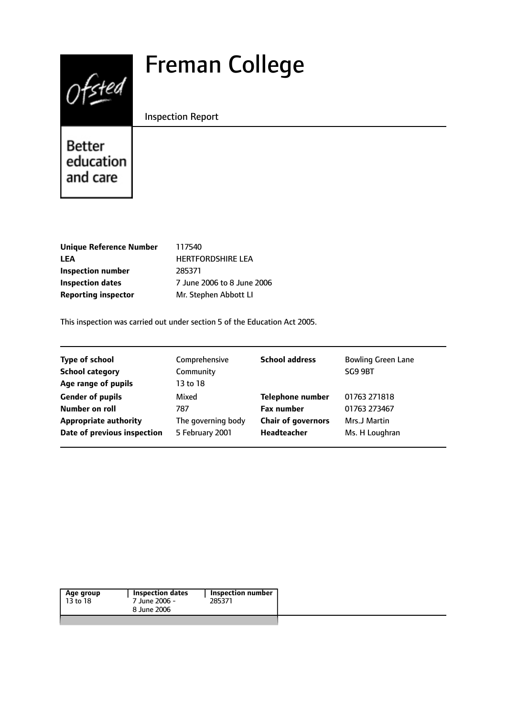# Freman College



Inspection Report

Better education and care

| <b>Unique Reference Number</b> |
|--------------------------------|
| LEA                            |
| Inspection number              |
| <b>Inspection dates</b>        |
| <b>Reporting inspector</b>     |

**Unique Reference Number** 117540 **LEA** HERTFORDSHIRE LEA **Inspection number** 285371 **Inspection dates** 7 June 2006 to 8 June 2006 **Mr. Stephen Abbott LI** 

This inspection was carried out under section 5 of the Education Act 2005.

| Comprehensive      | <b>School address</b>     | <b>Bowling Green Lane</b> |
|--------------------|---------------------------|---------------------------|
| Community          |                           | SG9 9BT                   |
| 13 to 18           |                           |                           |
| Mixed              | <b>Telephone number</b>   | 01763 271818              |
| 787                | <b>Fax number</b>         | 01763 273467              |
| The governing body | <b>Chair of governors</b> | Mrs.J Martin              |
| 5 February 2001    | <b>Headteacher</b>        | Ms. H Loughran            |
|                    |                           |                           |

| Age group | <b>Inspection dates</b> | Inspection number |  |
|-----------|-------------------------|-------------------|--|
| 13 to 18  | 7 June 2006 -           | 285371            |  |
|           | 8 June 2006             |                   |  |
|           |                         |                   |  |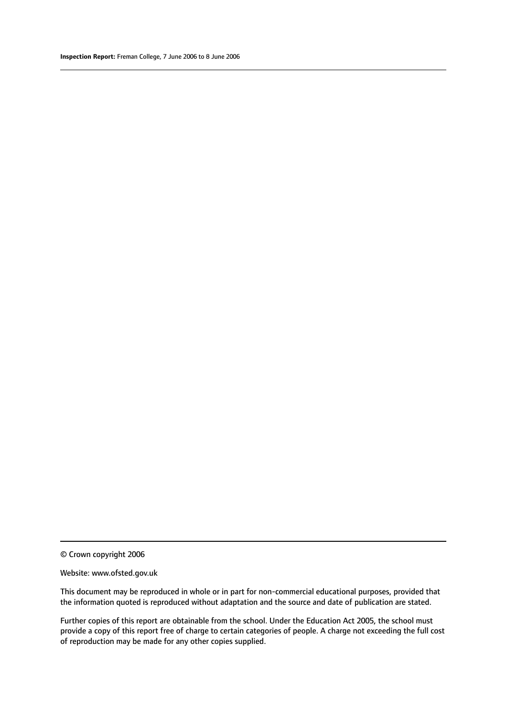#### Website: www.ofsted.gov.uk

This document may be reproduced in whole or in part for non-commercial educational purposes, provided that the information quoted is reproduced without adaptation and the source and date of publication are stated.

Further copies of this report are obtainable from the school. Under the Education Act 2005, the school must provide a copy of this report free of charge to certain categories of people. A charge not exceeding the full cost of reproduction may be made for any other copies supplied.

<sup>©</sup> Crown copyright 2006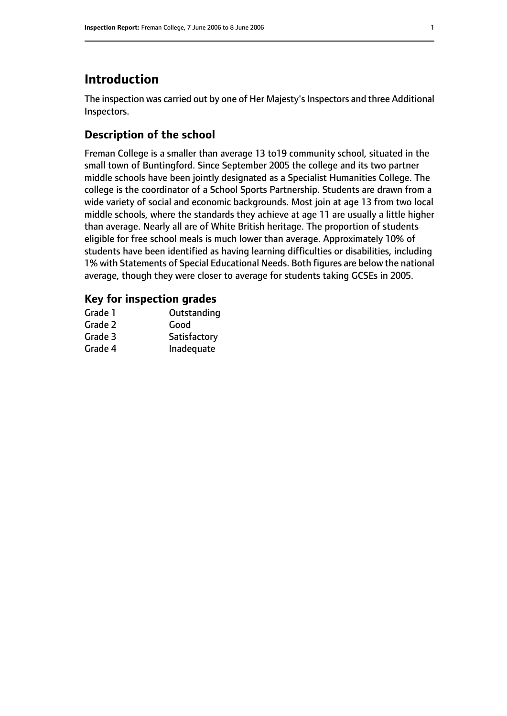## **Introduction**

The inspection was carried out by one of Her Majesty's Inspectors and three Additional Inspectors.

## **Description of the school**

Freman College is a smaller than average 13 to19 community school, situated in the small town of Buntingford. Since September 2005 the college and its two partner middle schools have been jointly designated as a Specialist Humanities College. The college is the coordinator of a School Sports Partnership. Students are drawn from a wide variety of social and economic backgrounds. Most join at age 13 from two local middle schools, where the standards they achieve at age 11 are usually a little higher than average. Nearly all are of White British heritage. The proportion of students eligible for free school meals is much lower than average. Approximately 10% of students have been identified as having learning difficulties or disabilities, including 1% with Statements of Special Educational Needs. Both figures are below the national average, though they were closer to average for students taking GCSEs in 2005.

#### **Key for inspection grades**

| Grade 1 | Outstanding  |
|---------|--------------|
| Grade 2 | Good         |
| Grade 3 | Satisfactory |
| Grade 4 | Inadequate   |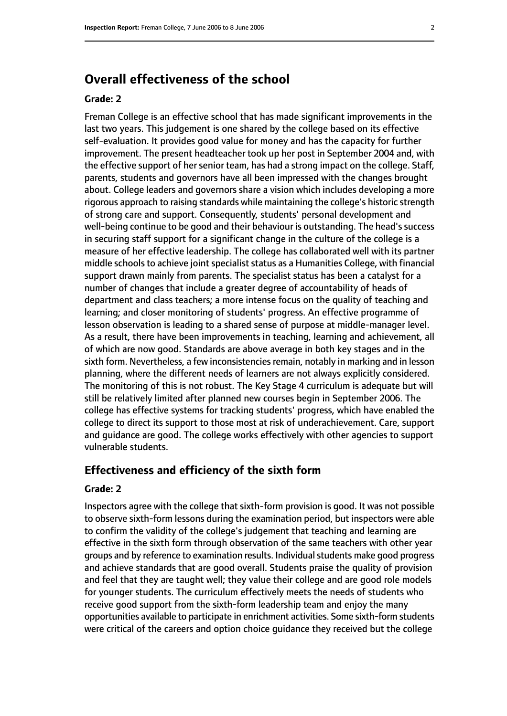## **Overall effectiveness of the school**

#### **Grade: 2**

Freman College is an effective school that has made significant improvements in the last two years. This judgement is one shared by the college based on its effective self-evaluation. It provides good value for money and has the capacity for further improvement. The present headteacher took up her post in September 2004 and, with the effective support of her senior team, has had a strong impact on the college. Staff, parents, students and governors have all been impressed with the changes brought about. College leaders and governors share a vision which includes developing a more rigorous approach to raising standards while maintaining the college's historic strength of strong care and support. Consequently, students' personal development and well-being continue to be good and their behaviour is outstanding. The head's success in securing staff support for a significant change in the culture of the college is a measure of her effective leadership. The college has collaborated well with its partner middle schools to achieve joint specialist status as a Humanities College, with financial support drawn mainly from parents. The specialist status has been a catalyst for a number of changes that include a greater degree of accountability of heads of department and class teachers; a more intense focus on the quality of teaching and learning; and closer monitoring of students' progress. An effective programme of lesson observation is leading to a shared sense of purpose at middle-manager level. As a result, there have been improvements in teaching, learning and achievement, all of which are now good. Standards are above average in both key stages and in the sixth form. Nevertheless, a few inconsistencies remain, notably in marking and in lesson planning, where the different needs of learners are not always explicitly considered. The monitoring of this is not robust. The Key Stage 4 curriculum is adequate but will still be relatively limited after planned new courses begin in September 2006. The college has effective systems for tracking students' progress, which have enabled the college to direct its support to those most at risk of underachievement. Care, support and guidance are good. The college works effectively with other agencies to support vulnerable students.

#### **Effectiveness and efficiency of the sixth form**

#### **Grade: 2**

Inspectors agree with the college that sixth-form provision is good. It was not possible to observe sixth-form lessons during the examination period, but inspectors were able to confirm the validity of the college's judgement that teaching and learning are effective in the sixth form through observation of the same teachers with other year groups and by reference to examination results. Individual students make good progress and achieve standards that are good overall. Students praise the quality of provision and feel that they are taught well; they value their college and are good role models for younger students. The curriculum effectively meets the needs of students who receive good support from the sixth-form leadership team and enjoy the many opportunities available to participate in enrichment activities. Some sixth-form students were critical of the careers and option choice guidance they received but the college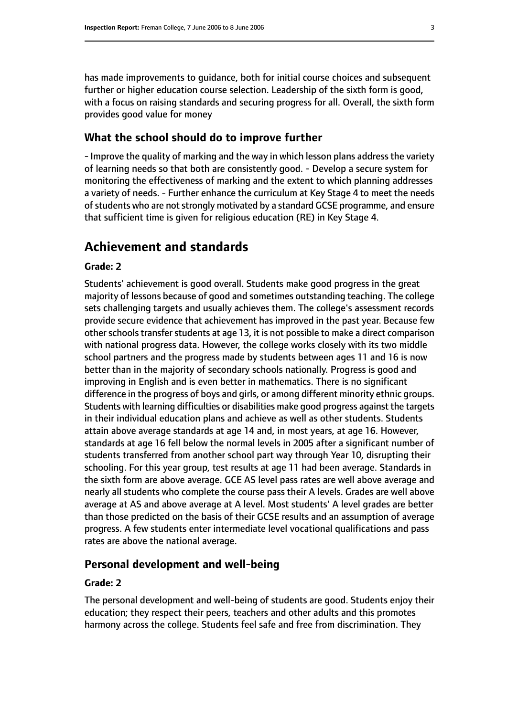has made improvements to guidance, both for initial course choices and subsequent further or higher education course selection. Leadership of the sixth form is good, with a focus on raising standards and securing progress for all. Overall, the sixth form provides good value for money

#### **What the school should do to improve further**

- Improve the quality of marking and the way in which lesson plans address the variety of learning needs so that both are consistently good. - Develop a secure system for monitoring the effectiveness of marking and the extent to which planning addresses a variety of needs. - Further enhance the curriculum at Key Stage 4 to meet the needs of students who are not strongly motivated by a standard GCSE programme, and ensure that sufficient time is given for religious education (RE) in Key Stage 4.

## **Achievement and standards**

#### **Grade: 2**

Students' achievement is good overall. Students make good progress in the great majority of lessons because of good and sometimes outstanding teaching. The college sets challenging targets and usually achieves them. The college's assessment records provide secure evidence that achievement has improved in the past year. Because few other schools transfer students at age 13, it is not possible to make a direct comparison with national progress data. However, the college works closely with its two middle school partners and the progress made by students between ages 11 and 16 is now better than in the majority of secondary schools nationally. Progress is good and improving in English and is even better in mathematics. There is no significant difference in the progress of boys and girls, or among different minority ethnic groups. Students with learning difficulties or disabilities make good progress against the targets in their individual education plans and achieve as well as other students. Students attain above average standards at age 14 and, in most years, at age 16. However, standards at age 16 fell below the normal levels in 2005 after a significant number of students transferred from another school part way through Year 10, disrupting their schooling. For this year group, test results at age 11 had been average. Standards in the sixth form are above average. GCE AS level pass rates are well above average and nearly all students who complete the course pass their A levels. Grades are well above average at AS and above average at A level. Most students' A level grades are better than those predicted on the basis of their GCSE results and an assumption of average progress. A few students enter intermediate level vocational qualifications and pass rates are above the national average.

#### **Personal development and well-being**

#### **Grade: 2**

The personal development and well-being of students are good. Students enjoy their education; they respect their peers, teachers and other adults and this promotes harmony across the college. Students feel safe and free from discrimination. They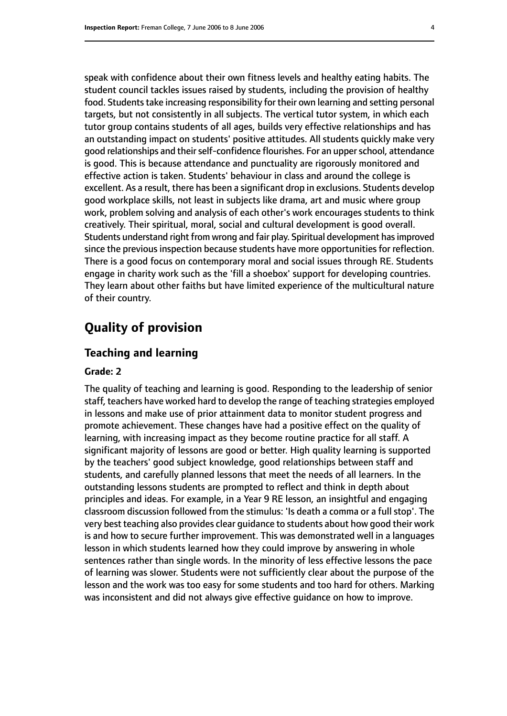speak with confidence about their own fitness levels and healthy eating habits. The student council tackles issues raised by students, including the provision of healthy food. Students take increasing responsibility for their own learning and setting personal targets, but not consistently in all subjects. The vertical tutor system, in which each tutor group contains students of all ages, builds very effective relationships and has an outstanding impact on students' positive attitudes. All students quickly make very good relationships and their self-confidence flourishes. For an upper school, attendance is good. This is because attendance and punctuality are rigorously monitored and effective action is taken. Students' behaviour in class and around the college is excellent. As a result, there has been a significant drop in exclusions. Students develop good workplace skills, not least in subjects like drama, art and music where group work, problem solving and analysis of each other's work encourages students to think creatively. Their spiritual, moral, social and cultural development is good overall. Students understand right from wrong and fair play. Spiritual development hasimproved since the previous inspection because students have more opportunities for reflection. There is a good focus on contemporary moral and social issues through RE. Students engage in charity work such as the 'fill a shoebox' support for developing countries. They learn about other faiths but have limited experience of the multicultural nature of their country.

## **Quality of provision**

#### **Teaching and learning**

#### **Grade: 2**

The quality of teaching and learning is good. Responding to the leadership of senior staff, teachers have worked hard to develop the range of teaching strategies employed in lessons and make use of prior attainment data to monitor student progress and promote achievement. These changes have had a positive effect on the quality of learning, with increasing impact as they become routine practice for all staff. A significant majority of lessons are good or better. High quality learning is supported by the teachers' good subject knowledge, good relationships between staff and students, and carefully planned lessons that meet the needs of all learners. In the outstanding lessons students are prompted to reflect and think in depth about principles and ideas. For example, in a Year 9 RE lesson, an insightful and engaging classroom discussion followed from the stimulus: 'Is death a comma or a full stop'. The very best teaching also provides clear guidance to students about how good their work is and how to secure further improvement. This was demonstrated well in a languages lesson in which students learned how they could improve by answering in whole sentences rather than single words. In the minority of less effective lessons the pace of learning was slower. Students were not sufficiently clear about the purpose of the lesson and the work was too easy for some students and too hard for others. Marking was inconsistent and did not always give effective guidance on how to improve.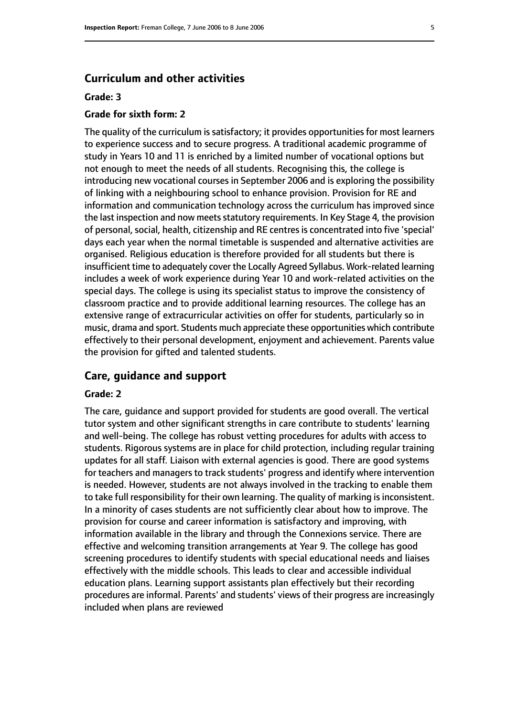#### **Curriculum and other activities**

#### **Grade: 3**

#### **Grade for sixth form: 2**

The quality of the curriculum is satisfactory; it provides opportunities for most learners to experience success and to secure progress. A traditional academic programme of study in Years 10 and 11 is enriched by a limited number of vocational options but not enough to meet the needs of all students. Recognising this, the college is introducing new vocational courses in September 2006 and is exploring the possibility of linking with a neighbouring school to enhance provision. Provision for RE and information and communication technology across the curriculum has improved since the last inspection and now meets statutory requirements. In Key Stage 4, the provision of personal, social, health, citizenship and RE centres is concentrated into five 'special' days each year when the normal timetable is suspended and alternative activities are organised. Religious education is therefore provided for all students but there is insufficient time to adequately cover the Locally Agreed Syllabus. Work-related learning includes a week of work experience during Year 10 and work-related activities on the special days. The college is using its specialist status to improve the consistency of classroom practice and to provide additional learning resources. The college has an extensive range of extracurricular activities on offer for students, particularly so in music, drama and sport. Students much appreciate these opportunities which contribute effectively to their personal development, enjoyment and achievement. Parents value the provision for gifted and talented students.

#### **Care, guidance and support**

#### **Grade: 2**

The care, guidance and support provided for students are good overall. The vertical tutor system and other significant strengths in care contribute to students' learning and well-being. The college has robust vetting procedures for adults with access to students. Rigorous systems are in place for child protection, including regular training updates for all staff. Liaison with external agencies is good. There are good systems for teachers and managers to track students' progress and identify where intervention is needed. However, students are not always involved in the tracking to enable them to take full responsibility for their own learning. The quality of marking is inconsistent. In a minority of cases students are not sufficiently clear about how to improve. The provision for course and career information is satisfactory and improving, with information available in the library and through the Connexions service. There are effective and welcoming transition arrangements at Year 9. The college has good screening procedures to identify students with special educational needs and liaises effectively with the middle schools. This leads to clear and accessible individual education plans. Learning support assistants plan effectively but their recording procedures are informal. Parents' and students' views of their progress are increasingly included when plans are reviewed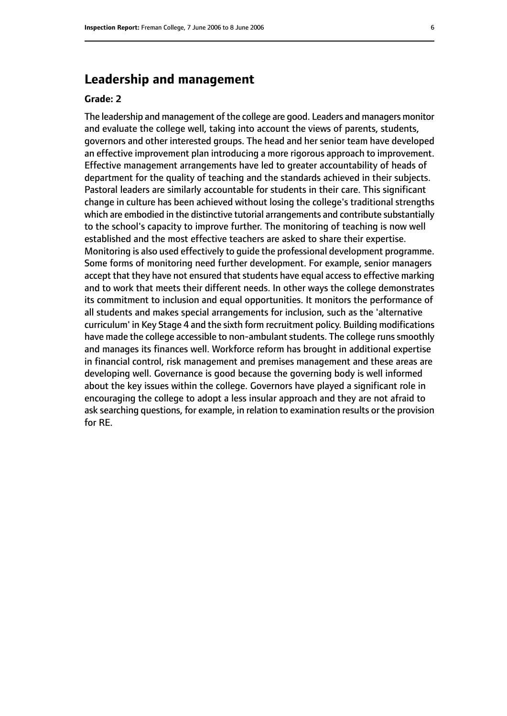## **Leadership and management**

#### **Grade: 2**

The leadership and management of the college are good. Leaders and managers monitor and evaluate the college well, taking into account the views of parents, students, governors and other interested groups. The head and her senior team have developed an effective improvement plan introducing a more rigorous approach to improvement. Effective management arrangements have led to greater accountability of heads of department for the quality of teaching and the standards achieved in their subjects. Pastoral leaders are similarly accountable for students in their care. This significant change in culture has been achieved without losing the college's traditional strengths which are embodied in the distinctive tutorial arrangements and contribute substantially to the school's capacity to improve further. The monitoring of teaching is now well established and the most effective teachers are asked to share their expertise. Monitoring is also used effectively to guide the professional development programme. Some forms of monitoring need further development. For example, senior managers accept that they have not ensured that students have equal access to effective marking and to work that meets their different needs. In other ways the college demonstrates its commitment to inclusion and equal opportunities. It monitors the performance of all students and makes special arrangements for inclusion, such as the 'alternative curriculum' in Key Stage 4 and the sixth form recruitment policy. Building modifications have made the college accessible to non-ambulant students. The college runs smoothly and manages its finances well. Workforce reform has brought in additional expertise in financial control, risk management and premises management and these areas are developing well. Governance is good because the governing body is well informed about the key issues within the college. Governors have played a significant role in encouraging the college to adopt a less insular approach and they are not afraid to ask searching questions, for example, in relation to examination results or the provision for RE.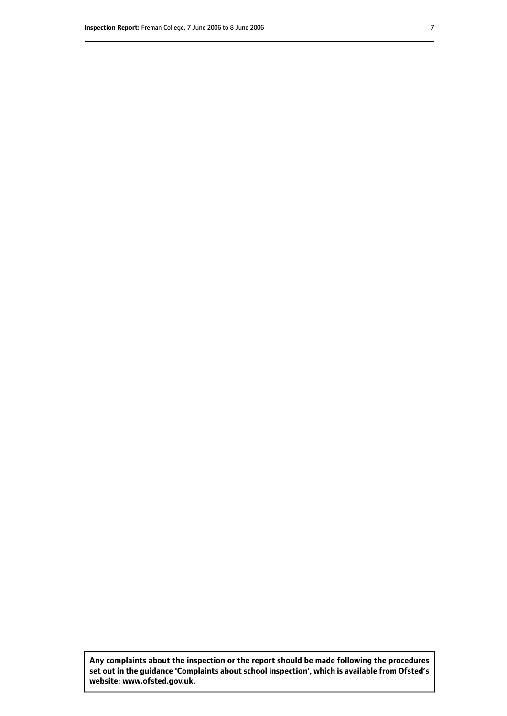**Any complaints about the inspection or the report should be made following the procedures set out inthe guidance 'Complaints about school inspection', whichis available from Ofsted's website: www.ofsted.gov.uk.**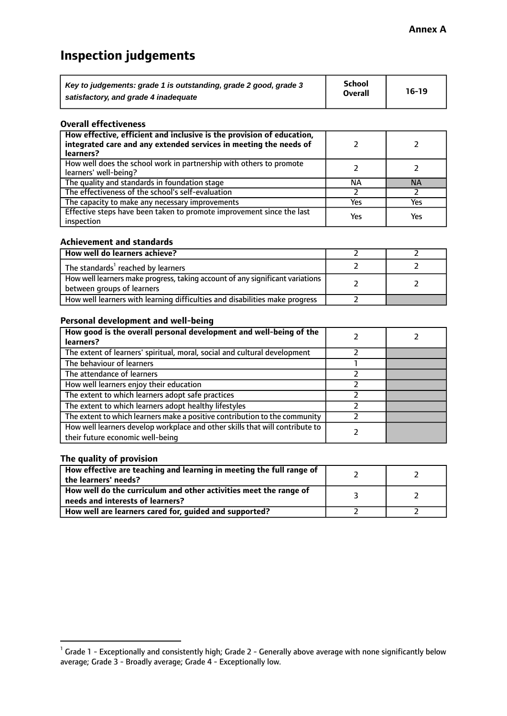## **Inspection judgements**

| Key to judgements: grade 1 is outstanding, grade 2 good, grade 3 | School         | $16-19$ |
|------------------------------------------------------------------|----------------|---------|
| satisfactory, and grade 4 inadequate                             | <b>Overall</b> |         |

#### **Overall effectiveness**

| How effective, efficient and inclusive is the provision of education,<br>integrated care and any extended services in meeting the needs of<br>learners? |     |           |
|---------------------------------------------------------------------------------------------------------------------------------------------------------|-----|-----------|
| How well does the school work in partnership with others to promote<br>learners' well-being?                                                            |     |           |
| The quality and standards in foundation stage                                                                                                           | ΝA  | <b>NA</b> |
| The effectiveness of the school's self-evaluation                                                                                                       |     |           |
| The capacity to make any necessary improvements                                                                                                         | Yes | Yes       |
| Effective steps have been taken to promote improvement since the last<br>inspection                                                                     | Yes | Yes       |

#### **Achievement and standards**

| How well do learners achieve?                                                                               |  |
|-------------------------------------------------------------------------------------------------------------|--|
| The standards <sup>1</sup> reached by learners                                                              |  |
| How well learners make progress, taking account of any significant variations<br>between groups of learners |  |
| How well learners with learning difficulties and disabilities make progress                                 |  |

#### **Personal development and well-being**

| How good is the overall personal development and well-being of the<br>learners?                                  |  |
|------------------------------------------------------------------------------------------------------------------|--|
| The extent of learners' spiritual, moral, social and cultural development                                        |  |
| The behaviour of learners                                                                                        |  |
| The attendance of learners                                                                                       |  |
| How well learners enjoy their education                                                                          |  |
| The extent to which learners adopt safe practices                                                                |  |
| The extent to which learners adopt healthy lifestyles                                                            |  |
| The extent to which learners make a positive contribution to the community                                       |  |
| How well learners develop workplace and other skills that will contribute to<br>their future economic well-being |  |

#### **The quality of provision**

| How effective are teaching and learning in meeting the full range of<br>the learners' needs?          |  |
|-------------------------------------------------------------------------------------------------------|--|
| How well do the curriculum and other activities meet the range of<br>needs and interests of learners? |  |
| How well are learners cared for, guided and supported?                                                |  |

 $^1$  Grade 1 - Exceptionally and consistently high; Grade 2 - Generally above average with none significantly below average; Grade 3 - Broadly average; Grade 4 - Exceptionally low.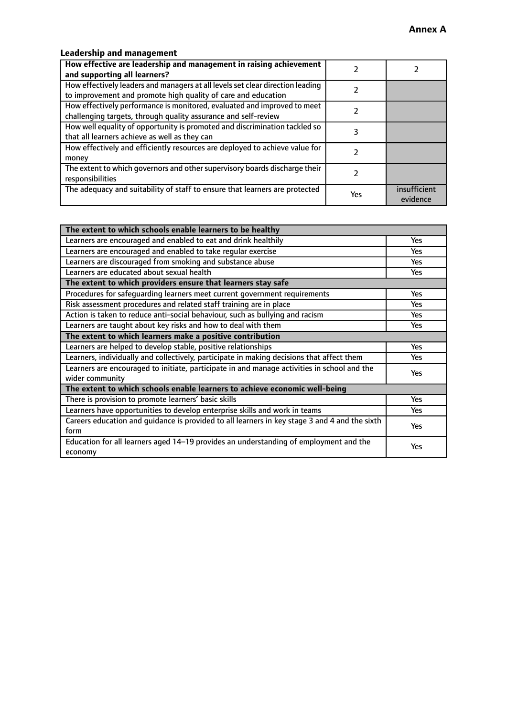## **Leadership and management**

| How effective are leadership and management in raising achievement<br>and supporting all learners?                                              |     |                          |
|-------------------------------------------------------------------------------------------------------------------------------------------------|-----|--------------------------|
| How effectively leaders and managers at all levels set clear direction leading<br>to improvement and promote high quality of care and education |     |                          |
| How effectively performance is monitored, evaluated and improved to meet<br>challenging targets, through quality assurance and self-review      |     |                          |
| How well equality of opportunity is promoted and discrimination tackled so<br>that all learners achieve as well as they can                     |     |                          |
| How effectively and efficiently resources are deployed to achieve value for<br>money                                                            |     |                          |
| The extent to which governors and other supervisory boards discharge their<br>responsibilities                                                  |     |                          |
| The adequacy and suitability of staff to ensure that learners are protected                                                                     | Yes | insufficient<br>evidence |

| The extent to which schools enable learners to be healthy                                     |            |  |
|-----------------------------------------------------------------------------------------------|------------|--|
| Learners are encouraged and enabled to eat and drink healthily                                | Yes        |  |
| Learners are encouraged and enabled to take regular exercise                                  | Yes        |  |
| Learners are discouraged from smoking and substance abuse                                     | <b>Yes</b> |  |
| Learners are educated about sexual health                                                     | Yes        |  |
| The extent to which providers ensure that learners stay safe                                  |            |  |
| Procedures for safeguarding learners meet current government requirements                     | Yes        |  |
| Risk assessment procedures and related staff training are in place                            | Yes        |  |
| Action is taken to reduce anti-social behaviour, such as bullying and racism                  | <b>Yes</b> |  |
| Learners are taught about key risks and how to deal with them                                 | Yes        |  |
| The extent to which learners make a positive contribution                                     |            |  |
| Learners are helped to develop stable, positive relationships                                 | <b>Yes</b> |  |
| Learners, individually and collectively, participate in making decisions that affect them     | Yes        |  |
| Learners are encouraged to initiate, participate in and manage activities in school and the   |            |  |
| wider community                                                                               | <b>Yes</b> |  |
| The extent to which schools enable learners to achieve economic well-being                    |            |  |
| There is provision to promote learners' basic skills                                          | Yes        |  |
| Learners have opportunities to develop enterprise skills and work in teams                    | Yes        |  |
| Careers education and guidance is provided to all learners in key stage 3 and 4 and the sixth | Yes        |  |
| form                                                                                          |            |  |
| Education for all learners aged 14–19 provides an understanding of employment and the         | Yes        |  |
| economy                                                                                       |            |  |